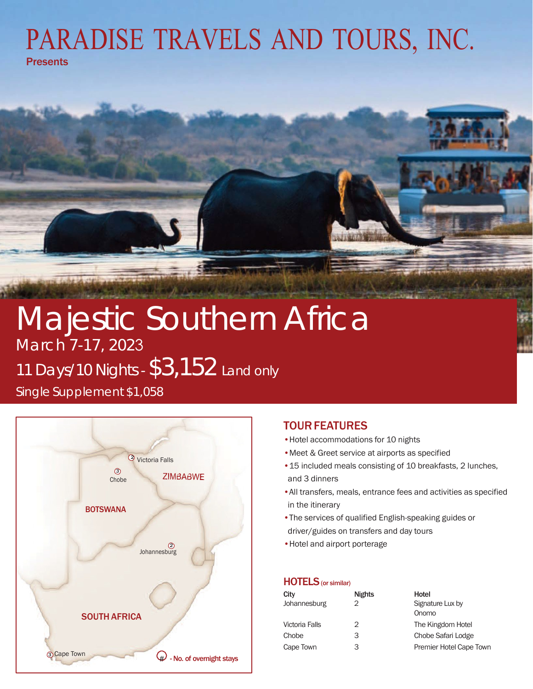# PARADISE TRAVELS AND TOURS, INC.

**Presents** 



## Majestic Southern Africa March 7-17, 2023

11 Days/10 Nights -  $$3,152$  Land only

Single Supplement \$1,058



### TOUR FEATURES

- •Hotel accommodations for 10 nights
- •Meet & Greet service at airports as specified
- •15 included meals consisting of 10 breakfasts, 2 lunches, and 3 dinners
- •All transfers, meals, entrance fees and activities as specified in the itinerary
- •The services of qualified English-speaking guides or driver/guides on transfers and day tours
- •Hotel and airport porterage

#### HOTELS (or similar)

| City<br>Johannesburg | <b>Nights</b><br>2 | Hotel<br>Signature Lux by<br>Onomo |
|----------------------|--------------------|------------------------------------|
| Victoria Falls       | 2                  | The Kingdom Hotel                  |
| Chobe                | 3                  | Chobe Safari Lodge                 |
| Cape Town            | З                  | Premier Hotel Cape Town            |